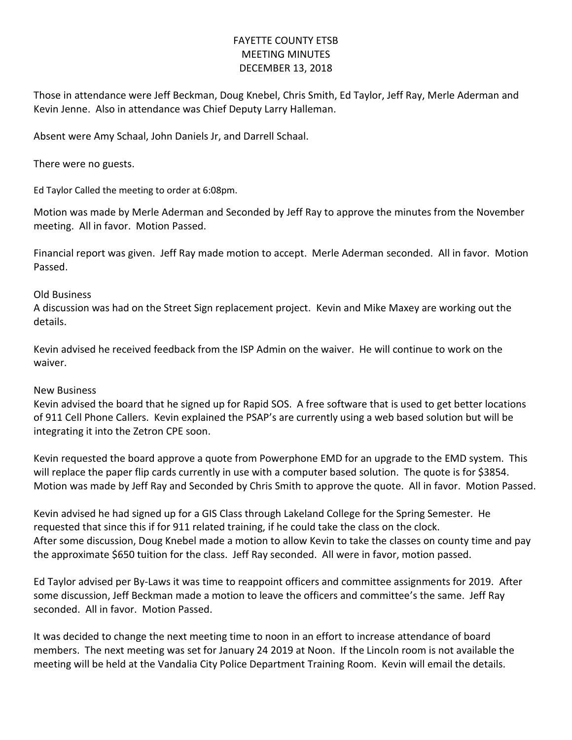## FAYETTE COUNTY ETSB MEETING MINUTES DECEMBER 13, 2018

Those in attendance were Jeff Beckman, Doug Knebel, Chris Smith, Ed Taylor, Jeff Ray, Merle Aderman and Kevin Jenne. Also in attendance was Chief Deputy Larry Halleman.

Absent were Amy Schaal, John Daniels Jr, and Darrell Schaal.

There were no guests.

Ed Taylor Called the meeting to order at 6:08pm.

Motion was made by Merle Aderman and Seconded by Jeff Ray to approve the minutes from the November meeting. All in favor. Motion Passed.

Financial report was given. Jeff Ray made motion to accept. Merle Aderman seconded. All in favor. Motion Passed.

## Old Business

A discussion was had on the Street Sign replacement project. Kevin and Mike Maxey are working out the details.

Kevin advised he received feedback from the ISP Admin on the waiver. He will continue to work on the waiver.

## New Business

Kevin advised the board that he signed up for Rapid SOS. A free software that is used to get better locations of 911 Cell Phone Callers. Kevin explained the PSAP's are currently using a web based solution but will be integrating it into the Zetron CPE soon.

Kevin requested the board approve a quote from Powerphone EMD for an upgrade to the EMD system. This will replace the paper flip cards currently in use with a computer based solution. The quote is for \$3854. Motion was made by Jeff Ray and Seconded by Chris Smith to approve the quote. All in favor. Motion Passed.

Kevin advised he had signed up for a GIS Class through Lakeland College for the Spring Semester. He requested that since this if for 911 related training, if he could take the class on the clock. After some discussion, Doug Knebel made a motion to allow Kevin to take the classes on county time and pay the approximate \$650 tuition for the class. Jeff Ray seconded. All were in favor, motion passed.

Ed Taylor advised per By-Laws it was time to reappoint officers and committee assignments for 2019. After some discussion, Jeff Beckman made a motion to leave the officers and committee's the same. Jeff Ray seconded. All in favor. Motion Passed.

It was decided to change the next meeting time to noon in an effort to increase attendance of board members. The next meeting was set for January 24 2019 at Noon. If the Lincoln room is not available the meeting will be held at the Vandalia City Police Department Training Room. Kevin will email the details.